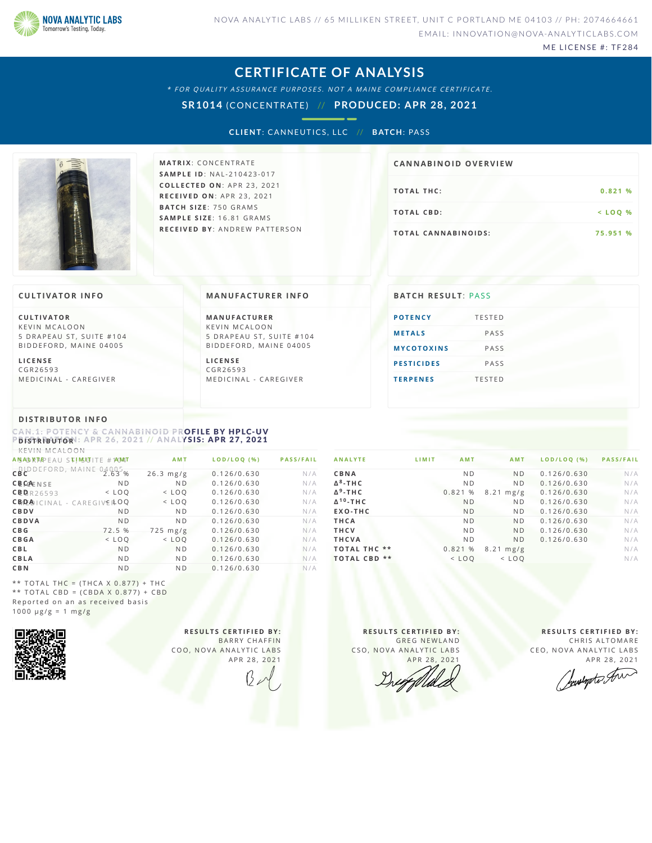

ME LICENSE #: TF284

### **CERTIFICATE OF ANALYSIS**

\* FOR QUALITY ASSURANCE PURPOSES. NOT A MAINE COMPLIANCE CERTIFICATE.

**SR1014** (CONCENTRATE) // **PRODUCED: APR 28, 2021**

**CLIENT: CANNEUTICS, LLC // BATCH: PASS** 



**M AT R I X** :C O N C E N T R A T E **SA M P L E I D** :N A L - 2 1 0 4 2 3 - 0 1 7 **C O L L E C T E D O N** :A P R 2 3 ,2 0 2 1 **R E C E I V E D O N** : A P R 2 3 ,2 0 2 1 **BAT C H S I Z E** : 7 5 0 G R A M S **SA M P L E S I Z E** : 1 6 . 8 1 G R A M S **R E C E I V E D BY** : A N D R E W P A T T E R S O N

## **TOTAL THC:** 0.821 % **T O TAL CB D :< L O Q % T O TAL CA N N ABI N O I D S : 7 5 . 9 5 1 % CA N N ABI N OID OVERVI EW**

#### **CULTIVATOR I N FO**

**C U L T I VAT O R** K F V IN M CALOON 5 DRAPEAU ST, SUITE #104 BID DEFORD, MAINE 04005

**L I C E N S E** C G R 2 6 5 9 3 MEDICINAL - CAREGIVER

#### **MA N UFACTURER I N FO**

**M A N U FAC T U R E R** K F V IN M CALOON 5 DRAPEAU ST, SUITE #104 BID D E FORD, MAINE 04005

**L I C E N S E** C G R 2 6 5 9 3 MEDICINAL - CAREGIVER

# **BATCH RESULT: PASS**

### **POTE[N](#page-0-0)CY** TESTED **ME[TAL](#page-1-0)S** PASS  $M$  **YCOTOXINS** PASS **PESTICI[D](#page-1-2)ES** PASS **T E R P E [N](#page-1-3) E S** T E S T E D

#### **DI STRIBUTOR I N FO**

<span id="page-0-0"></span>CAN.1: POTENCY & CANNABINOID PROFILE BY HPLC-UV  $P$ *D* **<b>ISTRIBUTOR**<sup>1</sup>: APR 26, 2021 // ANALYSIS: APR 27, 2021 K E H H A C A

| NEVIN MUALUUN                            |                |                |             |                  |  |  |  |
|------------------------------------------|----------------|----------------|-------------|------------------|--|--|--|
| AN AD RAPEAU STIMSUTITE #1AMAT           |                | <b>AMT</b>     | LOD/LOQ (%) | <b>PASS/FAIL</b> |  |  |  |
| CBCDEFORD, MAINE                         | $04005$ %      | $26.3$ mg/g    | 0.126/0.630 | N/A              |  |  |  |
| <b>CBCAENSE</b>                          | N <sub>D</sub> | N <sub>D</sub> | 0.126/0.630 | N/A              |  |  |  |
| CBBR26593                                | $<$ LOO        | $<$ LOO        | 0.126/0.630 | N/A              |  |  |  |
| $CB/DE$ $A$ $ C NAL - CAREG VE$ $R$ $OQ$ |                | $<$ LOO        | 0.126/0.630 | N/A              |  |  |  |
| CBDV                                     | N <sub>D</sub> | N <sub>D</sub> | 0.126/0.630 | N/A              |  |  |  |
| CBDVA                                    | N <sub>D</sub> | N <sub>D</sub> | 0.126/0.630 | N/A              |  |  |  |
| C <sub>B</sub> <sub>G</sub>              | 72.5 %         | $725$ mg/g     | 0.126/0.630 | N/A              |  |  |  |
| <b>CBGA</b>                              | $<$ LOO        | $<$ LOO        | 0.126/0.630 | N/A              |  |  |  |
| CBL                                      | N <sub>D</sub> | N <sub>D</sub> | 0.126/0.630 | N/A              |  |  |  |
| CBLA                                     | N <sub>D</sub> | N <sub>D</sub> | 0.126/0.630 | N/A              |  |  |  |
| <b>CBN</b>                               | N <sub>D</sub> | N <sub>D</sub> | 0.126/0.630 | N/A              |  |  |  |

| <b>ANALYTE</b>             | LIMIT<br><b>AMT</b> | <b>AMT</b>          | LOD/LOQ (%) | <b>PASS/FAIL</b> |
|----------------------------|---------------------|---------------------|-------------|------------------|
| CBNA                       | N <sub>D</sub>      | N <sub>D</sub>      | 0.126/0.630 | N/A              |
| $\Delta^8$ -THC            | N <sub>D</sub>      | N <sub>D</sub>      | 0.126/0.630 | N/A              |
| $\Delta$ <sup>9</sup> -THC | 0.821%              | $8.21 \text{ mg/g}$ | 0.126/0.630 | N/A              |
| $\Delta^{10}$ -THC         | N <sub>D</sub>      | N <sub>D</sub>      | 0.126/0.630 | N/A              |
| EXO-THC                    | N <sub>D</sub>      | N <sub>D</sub>      | 0.126/0.630 | N/A              |
| THCA                       | N <sub>D</sub>      | N <sub>D</sub>      | 0.126/0.630 | N/A              |
| <b>THCV</b>                | N <sub>D</sub>      | N <sub>D</sub>      | 0.126/0.630 | N/A              |
| <b>THCVA</b>               | N <sub>D</sub>      | N <sub>D</sub>      | 0.126/0.630 | N/A              |
| <b>TOTAL THC **</b>        | 0.821%              | $8.21 \text{ mg/g}$ |             | N/A              |
| **<br><b>TOTAL CBD</b>     | $<$ LOO             | $<$ LOO             |             | N/A              |
|                            |                     |                     |             |                  |

\*\* TOTAL THC =  $(THCA X 0.877) + THC$ \*\* TOTAL CBD =  $(CBDA X 0.877) + CBD$ Reported on an as received basis  $1000 \text{ }\mu\text{g/g} = 1 \text{ }\text{mg/g}$ 



**R E S U L T S C E R T I F I E D BY :** BARRY CHAFFIN COO, NOVA ANALYTIC LABS A P R 28, 2021

**R E S U L T S C E R T I F I E D BY :** GREG NEWLAND CSO, NOVA ANALYTIC LABS APR 28, 2021

**R E S U L T S C E R T I F I E D BY :** CHRIS ALTOMARE CEO, NOVA ANALYTIC LABS

APR 28, 2021